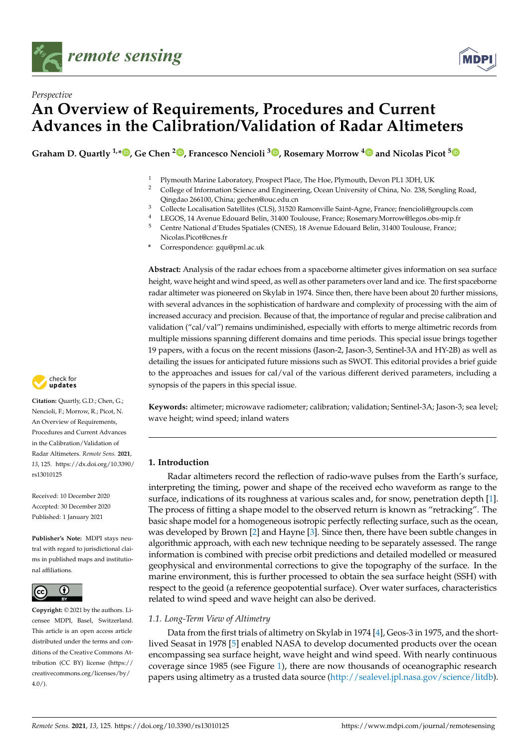



# *Perspective* **An Overview of Requirements, Procedures and Current Advances in the Calibration/Validation of Radar Altimeters**

**Graham D. Quartly 1,[\\*](https://orcid.org/0000-0001-9132-9511) , Ge Chen <sup>2</sup> [,](https://orcid.org/0000-0003-4868-5179) Francesco Nencioli <sup>3</sup> [,](https://orcid.org/0000-0001-6107-2479) Rosemary Morrow [4](https://orcid.org/0000-0002-2136-0334) and Nicolas Picot [5](https://orcid.org/0000-0001-5224-7660)**

<sup>1</sup> Plymouth Marine Laboratory, Prospect Place, The Hoe, Plymouth, Devon PL1 3DH, UK<sup>2</sup> College of Information Science and Engineering. Ocean University of China. No. 238. So

- <sup>2</sup> College of Information Science and Engineering, Ocean University of China, No. 238, Songling Road, Qingdao 266100, China; gechen@ouc.edu.cn
- <sup>3</sup> Collecte Localisation Satellites (CLS), 31520 Ramonville Saint-Agne, France; fnencioli@groupcls.com
- 4 LEGOS, 14 Avenue Edouard Belin, 31400 Toulouse, France; Rosemary.Morrow@legos.obs-mip.fr<br>5 Centre National d'Etudes Spatiales (CNES), 18 Avenue Edouard Belin, 31400 Toulouse, France
- <sup>5</sup> Centre National d'Etudes Spatiales (CNES), 18 Avenue Edouard Belin, 31400 Toulouse, France; Nicolas.Picot@cnes.fr
- **\*** Correspondence: gqu@pml.ac.uk

**Abstract:** Analysis of the radar echoes from a spaceborne altimeter gives information on sea surface height, wave height and wind speed, as well as other parameters over land and ice. The first spaceborne radar altimeter was pioneered on Skylab in 1974. Since then, there have been about 20 further missions, with several advances in the sophistication of hardware and complexity of processing with the aim of increased accuracy and precision. Because of that, the importance of regular and precise calibration and validation ("cal/val") remains undiminished, especially with efforts to merge altimetric records from multiple missions spanning different domains and time periods. This special issue brings together 19 papers, with a focus on the recent missions (Jason-2, Jason-3, Sentinel-3A and HY-2B) as well as detailing the issues for anticipated future missions such as SWOT. This editorial provides a brief guide to the approaches and issues for cal/val of the various different derived parameters, including a synopsis of the papers in this special issue.

**Keywords:** altimeter; microwave radiometer; calibration; validation; Sentinel-3A; Jason-3; sea level; wave height; wind speed; inland waters

# **1. Introduction**

Radar altimeters record the reflection of radio-wave pulses from the Earth's surface, interpreting the timing, power and shape of the received echo waveform as range to the surface, indications of its roughness at various scales and, for snow, penetration depth [\[1\]](#page-10-0). The process of fitting a shape model to the observed return is known as "retracking". The basic shape model for a homogeneous isotropic perfectly reflecting surface, such as the ocean, was developed by Brown [\[2\]](#page-10-1) and Hayne [\[3\]](#page-10-2). Since then, there have been subtle changes in algorithmic approach, with each new technique needing to be separately assessed. The range information is combined with precise orbit predictions and detailed modelled or measured geophysical and environmental corrections to give the topography of the surface. In the marine environment, this is further processed to obtain the sea surface height (SSH) with respect to the geoid (a reference geopotential surface). Over water surfaces, characteristics related to wind speed and wave height can also be derived.

# *1.1. Long-Term View of Altimetry*

Data from the first trials of altimetry on Skylab in 1974 [\[4\]](#page-10-3), Geos-3 in 1975, and the shortlived Seasat in 1978 [\[5\]](#page-10-4) enabled NASA to develop documented products over the ocean encompassing sea surface height, wave height and wind speed. With nearly continuous coverage since 1985 (see Figure [1\)](#page-1-0), there are now thousands of oceanographic research papers using altimetry as a trusted data source [\(http://sealevel.jpl.nasa.gov/science/litdb\)](http://sealevel.jpl.nasa.gov/science/litdb).



**Citation:** Quartly, G.D.; Chen, G.; Nencioli, F.; Morrow, R.; Picot, N. An Overview of Requirements, Procedures and Current Advances in the Calibration/Validation of Radar Altimeters. *Remote Sens.* **2021**, *13*, 125. [https://dx.doi.org/10.3390/](https://doi.org/10.3390/rs13010125) [rs13010125](https://doi.org/10.3390/rs13010125)

Received: 10 December 2020 Accepted: 30 December 2020 Published: 1 January 2021

**Publisher's Note:** MDPI stays neutral with regard to jurisdictional claims in published maps and institutional affiliations.



**Copyright:** © 2021 by the authors. Licensee MDPI, Basel, Switzerland. This article is an open access article distributed under the terms and conditions of the Creative Commons Attribution (CC BY) license [\(https://](https://creativecommons.org/licenses/by/4.0/) [creativecommons.org/licenses/by/](https://creativecommons.org/licenses/by/4.0/)  $4.0/$ ).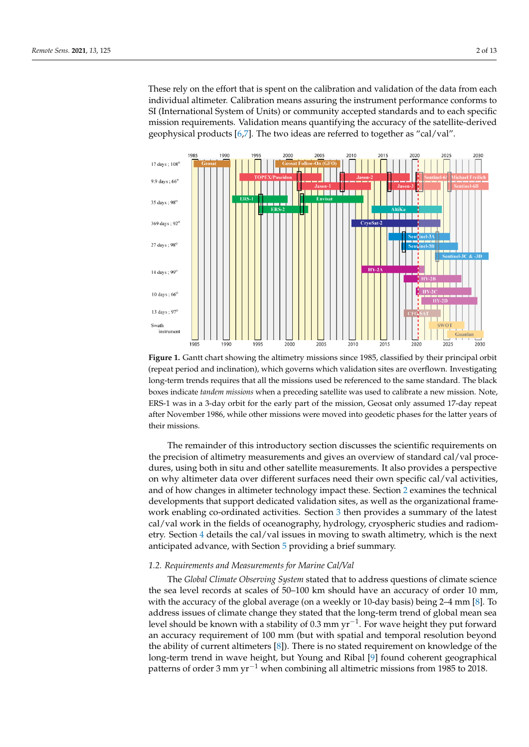These rely on the effort that is spent on the calibration and validation of the data from each individual altimeter. Calibration means assuring the instrument performance conforms to SI (International System of Units) or community accepted standards and to each specific mission requirements. Validation means quantifying the accuracy of the satellite-derived geophysical products [\[6,](#page-10-5)[7\]](#page-10-6). The two ideas are referred to together as "cal/val".

<span id="page-1-0"></span>

**Figure 1.** Gantt chart showing the altimetry missions since 1985, classified by their principal orbit (repeat period and inclination), which governs which validation sites are overflown. Investigating long-term trends requires that all the missions used be referenced to the same standard. The black boxes indicate *tandem missions* when a preceding satellite was used to calibrate a new mission. Note, ERS-1 was in a 3-day orbit for the early part of the mission, Geosat only assumed 17-day repeat after November 1986, while other missions were moved into geodetic phases for the latter years of their missions.

The remainder of this introductory section discusses the scientific requirements on the precision of altimetry measurements and gives an overview of standard cal/val procedures, using both in situ and other satellite measurements. It also provides a perspective on why altimeter data over different surfaces need their own specific cal/val activities, and of how changes in altimeter technology impact these. Section [2](#page-3-0) examines the technical developments that support dedicated validation sites, as well as the organizational framework enabling co-ordinated activities. Section [3](#page-5-0) then provides a summary of the latest cal/val work in the fields of oceanography, hydrology, cryospheric studies and radiometry. Section [4](#page-8-0) details the cal/val issues in moving to swath altimetry, which is the next anticipated advance, with Section [5](#page-9-0) providing a brief summary.

# *1.2. Requirements and Measurements for Marine Cal/Val*

The *Global Climate Observing System* stated that to address questions of climate science the sea level records at scales of 50–100 km should have an accuracy of order 10 mm, with the accuracy of the global average (on a weekly or 10-day basis) being 2–4 mm [\[8\]](#page-10-7). To address issues of climate change they stated that the long-term trend of global mean sea level should be known with a stability of 0.3 mm yr<sup>-1</sup>. For wave height they put forward an accuracy requirement of 100 mm (but with spatial and temporal resolution beyond the ability of current altimeters [\[8\]](#page-10-7)). There is no stated requirement on knowledge of the long-term trend in wave height, but Young and Ribal [\[9\]](#page-10-8) found coherent geographical patterns of order 3 mm  $yr^{-1}$  when combining all altimetric missions from 1985 to 2018.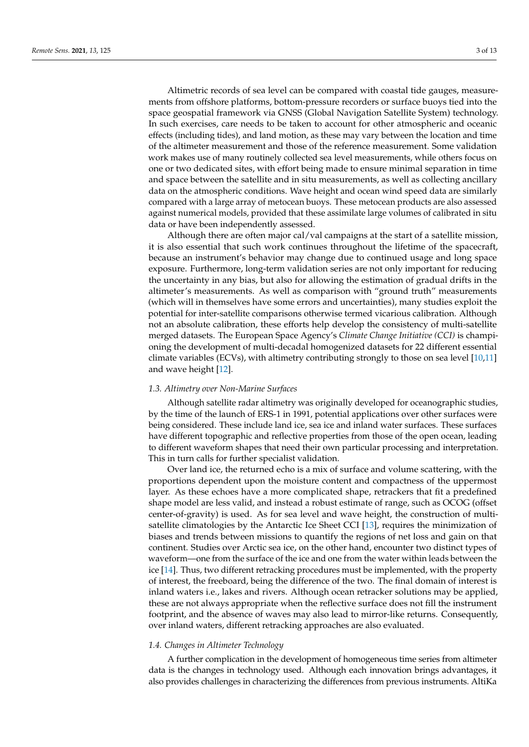Altimetric records of sea level can be compared with coastal tide gauges, measurements from offshore platforms, bottom-pressure recorders or surface buoys tied into the space geospatial framework via GNSS (Global Navigation Satellite System) technology. In such exercises, care needs to be taken to account for other atmospheric and oceanic effects (including tides), and land motion, as these may vary between the location and time of the altimeter measurement and those of the reference measurement. Some validation work makes use of many routinely collected sea level measurements, while others focus on one or two dedicated sites, with effort being made to ensure minimal separation in time and space between the satellite and in situ measurements, as well as collecting ancillary data on the atmospheric conditions. Wave height and ocean wind speed data are similarly compared with a large array of metocean buoys. These metocean products are also assessed against numerical models, provided that these assimilate large volumes of calibrated in situ data or have been independently assessed.

Although there are often major cal/val campaigns at the start of a satellite mission, it is also essential that such work continues throughout the lifetime of the spacecraft, because an instrument's behavior may change due to continued usage and long space exposure. Furthermore, long-term validation series are not only important for reducing the uncertainty in any bias, but also for allowing the estimation of gradual drifts in the altimeter's measurements. As well as comparison with "ground truth" measurements (which will in themselves have some errors and uncertainties), many studies exploit the potential for inter-satellite comparisons otherwise termed vicarious calibration. Although not an absolute calibration, these efforts help develop the consistency of multi-satellite merged datasets. The European Space Agency's *Climate Change Initiative (CCI)* is championing the development of multi-decadal homogenized datasets for 22 different essential climate variables (ECVs), with altimetry contributing strongly to those on sea level [\[10,](#page-11-0)[11\]](#page-11-1) and wave height [\[12\]](#page-11-2).

### *1.3. Altimetry over Non-Marine Surfaces*

Although satellite radar altimetry was originally developed for oceanographic studies, by the time of the launch of ERS-1 in 1991, potential applications over other surfaces were being considered. These include land ice, sea ice and inland water surfaces. These surfaces have different topographic and reflective properties from those of the open ocean, leading to different waveform shapes that need their own particular processing and interpretation. This in turn calls for further specialist validation.

Over land ice, the returned echo is a mix of surface and volume scattering, with the proportions dependent upon the moisture content and compactness of the uppermost layer. As these echoes have a more complicated shape, retrackers that fit a predefined shape model are less valid, and instead a robust estimate of range, such as OCOG (offset center-of-gravity) is used. As for sea level and wave height, the construction of multisatellite climatologies by the Antarctic Ice Sheet CCI [\[13\]](#page-11-3), requires the minimization of biases and trends between missions to quantify the regions of net loss and gain on that continent. Studies over Arctic sea ice, on the other hand, encounter two distinct types of waveform—one from the surface of the ice and one from the water within leads between the ice [\[14\]](#page-11-4). Thus, two different retracking procedures must be implemented, with the property of interest, the freeboard, being the difference of the two. The final domain of interest is inland waters i.e., lakes and rivers. Although ocean retracker solutions may be applied, these are not always appropriate when the reflective surface does not fill the instrument footprint, and the absence of waves may also lead to mirror-like returns. Consequently, over inland waters, different retracking approaches are also evaluated.

# *1.4. Changes in Altimeter Technology*

A further complication in the development of homogeneous time series from altimeter data is the changes in technology used. Although each innovation brings advantages, it also provides challenges in characterizing the differences from previous instruments. AltiKa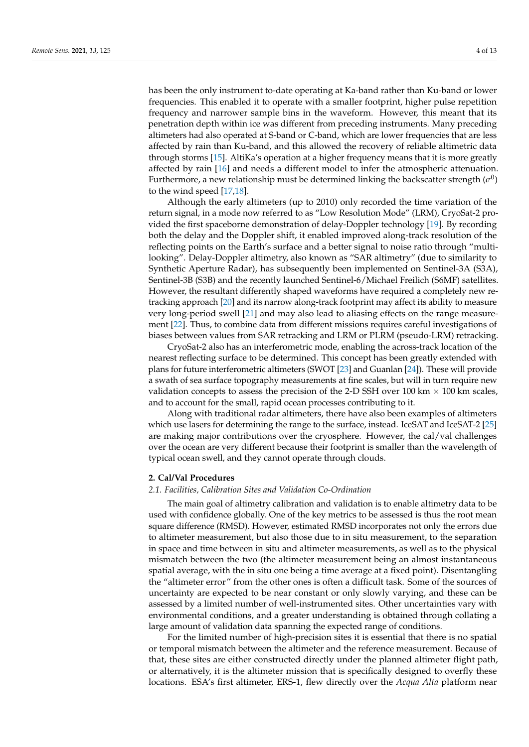has been the only instrument to-date operating at Ka-band rather than Ku-band or lower frequencies. This enabled it to operate with a smaller footprint, higher pulse repetition frequency and narrower sample bins in the waveform. However, this meant that its penetration depth within ice was different from preceding instruments. Many preceding altimeters had also operated at S-band or C-band, which are lower frequencies that are less affected by rain than Ku-band, and this allowed the recovery of reliable altimetric data through storms [\[15\]](#page-11-5). AltiKa's operation at a higher frequency means that it is more greatly affected by rain [\[16\]](#page-11-6) and needs a different model to infer the atmospheric attenuation. Furthermore, a new relationship must be determined linking the backscatter strength  $(\sigma^0)$ to the wind speed [\[17](#page-11-7)[,18\]](#page-11-8).

Although the early altimeters (up to 2010) only recorded the time variation of the return signal, in a mode now referred to as "Low Resolution Mode" (LRM), CryoSat-2 provided the first spaceborne demonstration of delay-Doppler technology [\[19\]](#page-11-9). By recording both the delay and the Doppler shift, it enabled improved along-track resolution of the reflecting points on the Earth's surface and a better signal to noise ratio through "multilooking". Delay-Doppler altimetry, also known as "SAR altimetry" (due to similarity to Synthetic Aperture Radar), has subsequently been implemented on Sentinel-3A (S3A), Sentinel-3B (S3B) and the recently launched Sentinel-6/Michael Freilich (S6MF) satellites. However, the resultant differently shaped waveforms have required a completely new retracking approach [\[20\]](#page-11-10) and its narrow along-track footprint may affect its ability to measure very long-period swell [\[21\]](#page-11-11) and may also lead to aliasing effects on the range measurement [\[22\]](#page-11-12). Thus, to combine data from different missions requires careful investigations of biases between values from SAR retracking and LRM or PLRM (pseudo-LRM) retracking.

CryoSat-2 also has an interferometric mode, enabling the across-track location of the nearest reflecting surface to be determined. This concept has been greatly extended with plans for future interferometric altimeters (SWOT [\[23\]](#page-11-13) and Guanlan [\[24\]](#page-11-14)). These will provide a swath of sea surface topography measurements at fine scales, but will in turn require new validation concepts to assess the precision of the 2-D SSH over 100 km  $\times$  100 km scales, and to account for the small, rapid ocean processes contributing to it.

Along with traditional radar altimeters, there have also been examples of altimeters which use lasers for determining the range to the surface, instead. IceSAT and IceSAT-2 [\[25\]](#page-11-15) are making major contributions over the cryosphere. However, the cal/val challenges over the ocean are very different because their footprint is smaller than the wavelength of typical ocean swell, and they cannot operate through clouds.

### <span id="page-3-0"></span>**2. Cal/Val Procedures**

## *2.1. Facilities, Calibration Sites and Validation Co-Ordination*

The main goal of altimetry calibration and validation is to enable altimetry data to be used with confidence globally. One of the key metrics to be assessed is thus the root mean square difference (RMSD). However, estimated RMSD incorporates not only the errors due to altimeter measurement, but also those due to in situ measurement, to the separation in space and time between in situ and altimeter measurements, as well as to the physical mismatch between the two (the altimeter measurement being an almost instantaneous spatial average, with the in situ one being a time average at a fixed point). Disentangling the "altimeter error" from the other ones is often a difficult task. Some of the sources of uncertainty are expected to be near constant or only slowly varying, and these can be assessed by a limited number of well-instrumented sites. Other uncertainties vary with environmental conditions, and a greater understanding is obtained through collating a large amount of validation data spanning the expected range of conditions.

For the limited number of high-precision sites it is essential that there is no spatial or temporal mismatch between the altimeter and the reference measurement. Because of that, these sites are either constructed directly under the planned altimeter flight path, or alternatively, it is the altimeter mission that is specifically designed to overfly these locations. ESA's first altimeter, ERS-1, flew directly over the *Acqua Alta* platform near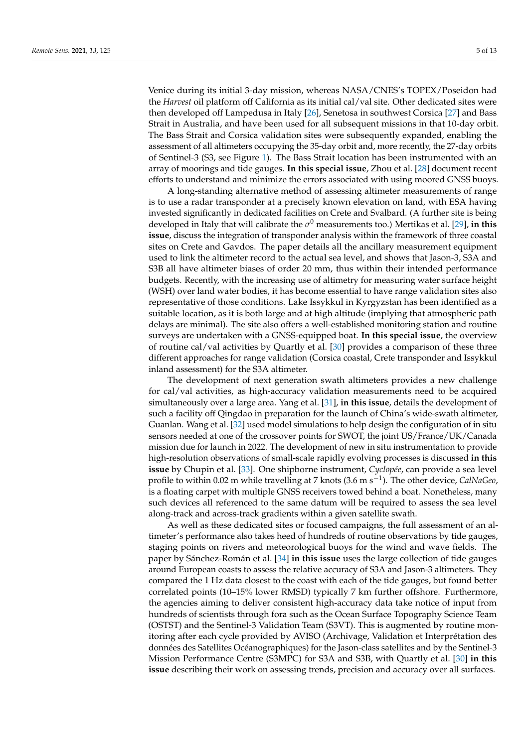Venice during its initial 3-day mission, whereas NASA/CNES's TOPEX/Poseidon had the *Harvest* oil platform off California as its initial cal/val site. Other dedicated sites were then developed off Lampedusa in Italy [\[26\]](#page-11-16), Senetosa in southwest Corsica [\[27\]](#page-11-17) and Bass Strait in Australia, and have been used for all subsequent missions in that 10-day orbit. The Bass Strait and Corsica validation sites were subsequently expanded, enabling the assessment of all altimeters occupying the 35-day orbit and, more recently, the 27-day orbits of Sentinel-3 (S3, see Figure [1\)](#page-1-0). The Bass Strait location has been instrumented with an array of moorings and tide gauges. **In this special issue**, Zhou et al. [\[28\]](#page-11-18) document recent efforts to understand and minimize the errors associated with using moored GNSS buoys.

A long-standing alternative method of assessing altimeter measurements of range is to use a radar transponder at a precisely known elevation on land, with ESA having invested significantly in dedicated facilities on Crete and Svalbard. (A further site is being developed in Italy that will calibrate the *σ* <sup>0</sup> measurements too.) Mertikas et al. [\[29\]](#page-11-19), **in this issue**, discuss the integration of transponder analysis within the framework of three coastal sites on Crete and Gavdos. The paper details all the ancillary measurement equipment used to link the altimeter record to the actual sea level, and shows that Jason-3, S3A and S3B all have altimeter biases of order 20 mm, thus within their intended performance budgets. Recently, with the increasing use of altimetry for measuring water surface height (WSH) over land water bodies, it has become essential to have range validation sites also representative of those conditions. Lake Issykkul in Kyrgyzstan has been identified as a suitable location, as it is both large and at high altitude (implying that atmospheric path delays are minimal). The site also offers a well-established monitoring station and routine surveys are undertaken with a GNSS-equipped boat. **In this special issue**, the overview of routine cal/val activities by Quartly et al. [\[30\]](#page-11-20) provides a comparison of these three different approaches for range validation (Corsica coastal, Crete transponder and Issykkul inland assessment) for the S3A altimeter.

The development of next generation swath altimeters provides a new challenge for cal/val activities, as high-accuracy validation measurements need to be acquired simultaneously over a large area. Yang et al. [\[31\]](#page-11-21), **in this issue**, details the development of such a facility off Qingdao in preparation for the launch of China's wide-swath altimeter, Guanlan. Wang et al. [\[32\]](#page-11-22) used model simulations to help design the configuration of in situ sensors needed at one of the crossover points for SWOT, the joint US/France/UK/Canada mission due for launch in 2022. The development of new in situ instrumentation to provide high-resolution observations of small-scale rapidly evolving processes is discussed **in this issue** by Chupin et al. [\[33\]](#page-11-23). One shipborne instrument, *Cyclopée*, can provide a sea level profile to within 0.02 m while travelling at 7 knots (3.6 m s−<sup>1</sup> ). The other device, *CalNaGeo*, is a floating carpet with multiple GNSS receivers towed behind a boat. Nonetheless, many such devices all referenced to the same datum will be required to assess the sea level along-track and across-track gradients within a given satellite swath.

As well as these dedicated sites or focused campaigns, the full assessment of an altimeter's performance also takes heed of hundreds of routine observations by tide gauges, staging points on rivers and meteorological buoys for the wind and wave fields. The paper by Sánchez-Román et al. [\[34\]](#page-11-24) **in this issue** uses the large collection of tide gauges around European coasts to assess the relative accuracy of S3A and Jason-3 altimeters. They compared the 1 Hz data closest to the coast with each of the tide gauges, but found better correlated points (10–15% lower RMSD) typically 7 km further offshore. Furthermore, the agencies aiming to deliver consistent high-accuracy data take notice of input from hundreds of scientists through fora such as the Ocean Surface Topography Science Team (OSTST) and the Sentinel-3 Validation Team (S3VT). This is augmented by routine monitoring after each cycle provided by AVISO (Archivage, Validation et Interprétation des données des Satellites Océanographiques) for the Jason-class satellites and by the Sentinel-3 Mission Performance Centre (S3MPC) for S3A and S3B, with Quartly et al. [\[30\]](#page-11-20) **in this issue** describing their work on assessing trends, precision and accuracy over all surfaces.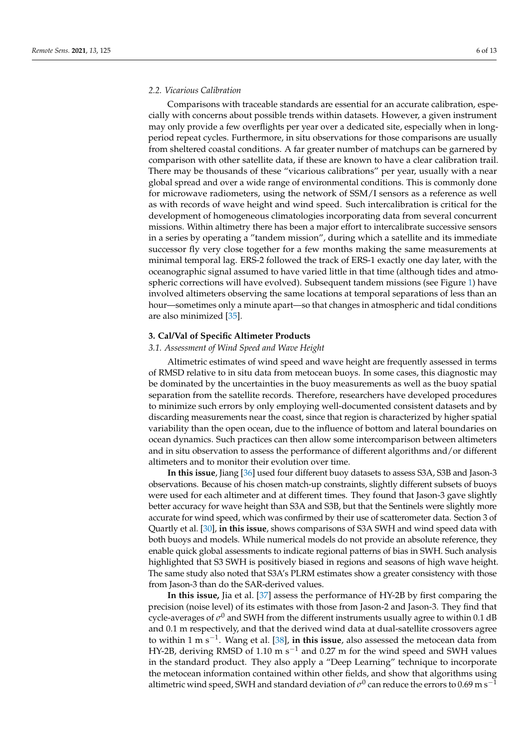## *2.2. Vicarious Calibration*

Comparisons with traceable standards are essential for an accurate calibration, especially with concerns about possible trends within datasets. However, a given instrument may only provide a few overflights per year over a dedicated site, especially when in longperiod repeat cycles. Furthermore, in situ observations for those comparisons are usually from sheltered coastal conditions. A far greater number of matchups can be garnered by comparison with other satellite data, if these are known to have a clear calibration trail. There may be thousands of these "vicarious calibrations" per year, usually with a near global spread and over a wide range of environmental conditions. This is commonly done for microwave radiometers, using the network of SSM/I sensors as a reference as well as with records of wave height and wind speed. Such intercalibration is critical for the development of homogeneous climatologies incorporating data from several concurrent missions. Within altimetry there has been a major effort to intercalibrate successive sensors in a series by operating a "tandem mission", during which a satellite and its immediate successor fly very close together for a few months making the same measurements at minimal temporal lag. ERS-2 followed the track of ERS-1 exactly one day later, with the oceanographic signal assumed to have varied little in that time (although tides and atmospheric corrections will have evolved). Subsequent tandem missions (see Figure [1\)](#page-1-0) have involved altimeters observing the same locations at temporal separations of less than an hour—sometimes only a minute apart—so that changes in atmospheric and tidal conditions are also minimized [\[35\]](#page-12-0).

# <span id="page-5-0"></span>**3. Cal/Val of Specific Altimeter Products**

### *3.1. Assessment of Wind Speed and Wave Height*

Altimetric estimates of wind speed and wave height are frequently assessed in terms of RMSD relative to in situ data from metocean buoys. In some cases, this diagnostic may be dominated by the uncertainties in the buoy measurements as well as the buoy spatial separation from the satellite records. Therefore, researchers have developed procedures to minimize such errors by only employing well-documented consistent datasets and by discarding measurements near the coast, since that region is characterized by higher spatial variability than the open ocean, due to the influence of bottom and lateral boundaries on ocean dynamics. Such practices can then allow some intercomparison between altimeters and in situ observation to assess the performance of different algorithms and/or different altimeters and to monitor their evolution over time.

**In this issue**, Jiang [\[36\]](#page-12-1) used four different buoy datasets to assess S3A, S3B and Jason-3 observations. Because of his chosen match-up constraints, slightly different subsets of buoys were used for each altimeter and at different times. They found that Jason-3 gave slightly better accuracy for wave height than S3A and S3B, but that the Sentinels were slightly more accurate for wind speed, which was confirmed by their use of scatterometer data. Section 3 of Quartly et al. [\[30\]](#page-11-20), **in this issue**, shows comparisons of S3A SWH and wind speed data with both buoys and models. While numerical models do not provide an absolute reference, they enable quick global assessments to indicate regional patterns of bias in SWH. Such analysis highlighted that S3 SWH is positively biased in regions and seasons of high wave height. The same study also noted that S3A's PLRM estimates show a greater consistency with those from Jason-3 than do the SAR-derived values.

**In this issue,** Jia et al. [\[37\]](#page-12-2) assess the performance of HY-2B by first comparing the precision (noise level) of its estimates with those from Jason-2 and Jason-3. They find that cycle-averages of  $\sigma^0$  and SWH from the different instruments usually agree to within 0.1 dB and 0.1 m respectively, and that the derived wind data at dual-satellite crossovers agree to within 1 m s−<sup>1</sup> . Wang et al. [\[38\]](#page-12-3), **in this issue**, also assessed the metocean data from HY-2B, deriving RMSD of 1.10 m s<sup>-1</sup> and 0.27 m for the wind speed and SWH values in the standard product. They also apply a "Deep Learning" technique to incorporate the metocean information contained within other fields, and show that algorithms using altimetric wind speed, SWH and standard deviation of  $\sigma^0$  can reduce the errors to 0.69 m s<sup>−1</sup>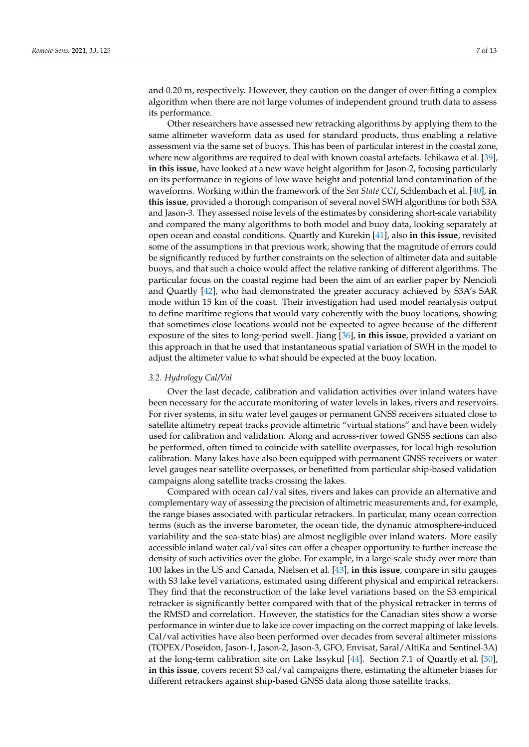and 0.20 m, respectively. However, they caution on the danger of over-fitting a complex algorithm when there are not large volumes of independent ground truth data to assess its performance.

Other researchers have assessed new retracking algorithms by applying them to the same altimeter waveform data as used for standard products, thus enabling a relative assessment via the same set of buoys. This has been of particular interest in the coastal zone, where new algorithms are required to deal with known coastal artefacts. Ichikawa et al. [\[39\]](#page-12-4), **in this issue**, have looked at a new wave height algorithm for Jason-2, focusing particularly on its performance in regions of low wave height and potential land contamination of the waveforms. Working within the framework of the *Sea State CCI*, Schlembach et al. [\[40\]](#page-12-5), **in this issue**, provided a thorough comparison of several novel SWH algorithms for both S3A and Jason-3. They assessed noise levels of the estimates by considering short-scale variability and compared the many algorithms to both model and buoy data, looking separately at open ocean and coastal conditions. Quartly and Kurekin [\[41\]](#page-12-6), also **in this issue**, revisited some of the assumptions in that previous work, showing that the magnitude of errors could be significantly reduced by further constraints on the selection of altimeter data and suitable buoys, and that such a choice would affect the relative ranking of different algorithms. The particular focus on the coastal regime had been the aim of an earlier paper by Nencioli and Quartly [\[42\]](#page-12-7), who had demonstrated the greater accuracy achieved by S3A's SAR mode within 15 km of the coast. Their investigation had used model reanalysis output to define maritime regions that would vary coherently with the buoy locations, showing that sometimes close locations would not be expected to agree because of the different exposure of the sites to long-period swell. Jiang [\[36\]](#page-12-1), **in this issue**, provided a variant on this approach in that he used that instantaneous spatial variation of SWH in the model to adjust the altimeter value to what should be expected at the buoy location.

## *3.2. Hydrology Cal/Val*

Over the last decade, calibration and validation activities over inland waters have been necessary for the accurate monitoring of water levels in lakes, rivers and reservoirs. For river systems, in situ water level gauges or permanent GNSS receivers situated close to satellite altimetry repeat tracks provide altimetric "virtual stations" and have been widely used for calibration and validation. Along and across-river towed GNSS sections can also be performed, often timed to coincide with satellite overpasses, for local high-resolution calibration. Many lakes have also been equipped with permanent GNSS receivers or water level gauges near satellite overpasses, or benefitted from particular ship-based validation campaigns along satellite tracks crossing the lakes.

Compared with ocean cal/val sites, rivers and lakes can provide an alternative and complementary way of assessing the precision of altimetric measurements and, for example, the range biases associated with particular retrackers. In particular, many ocean correction terms (such as the inverse barometer, the ocean tide, the dynamic atmosphere-induced variability and the sea-state bias) are almost negligible over inland waters. More easily accessible inland water cal/val sites can offer a cheaper opportunity to further increase the density of such activities over the globe. For example, in a large-scale study over more than 100 lakes in the US and Canada, Nielsen et al. [\[43\]](#page-12-8), **in this issue**, compare in situ gauges with S3 lake level variations, estimated using different physical and empirical retrackers. They find that the reconstruction of the lake level variations based on the S3 empirical retracker is significantly better compared with that of the physical retracker in terms of the RMSD and correlation. However, the statistics for the Canadian sites show a worse performance in winter due to lake ice cover impacting on the correct mapping of lake levels. Cal/val activities have also been performed over decades from several altimeter missions (TOPEX/Poseidon, Jason-1, Jason-2, Jason-3, GFO, Envisat, Saral/AltiKa and Sentinel-3A) at the long-term calibration site on Lake Issykul [\[44\]](#page-12-9). Section 7.1 of Quartly et al. [\[30\]](#page-11-20), **in this issue**, covers recent S3 cal/val campaigns there, estimating the altimeter biases for different retrackers against ship-based GNSS data along those satellite tracks.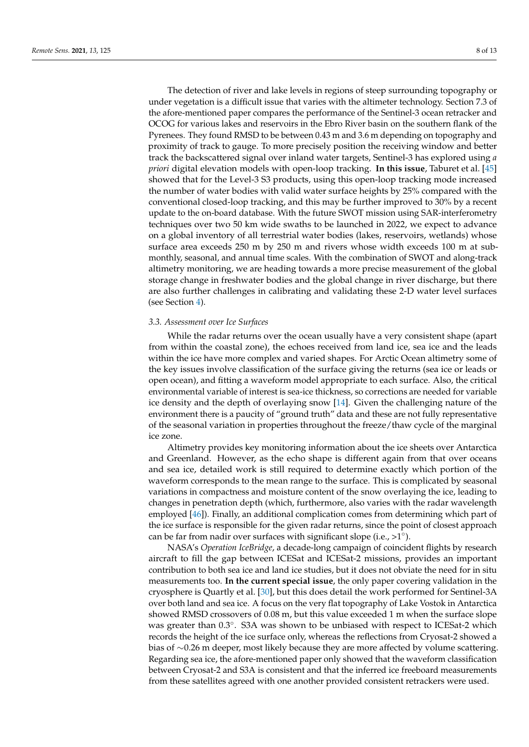The detection of river and lake levels in regions of steep surrounding topography or under vegetation is a difficult issue that varies with the altimeter technology. Section 7.3 of the afore-mentioned paper compares the performance of the Sentinel-3 ocean retracker and OCOG for various lakes and reservoirs in the Ebro River basin on the southern flank of the Pyrenees. They found RMSD to be between 0.43 m and 3.6 m depending on topography and proximity of track to gauge. To more precisely position the receiving window and better track the backscattered signal over inland water targets, Sentinel-3 has explored using *a priori* digital elevation models with open-loop tracking. **In this issue**, Taburet et al. [\[45\]](#page-12-10) showed that for the Level-3 S3 products, using this open-loop tracking mode increased the number of water bodies with valid water surface heights by 25% compared with the conventional closed-loop tracking, and this may be further improved to 30% by a recent update to the on-board database. With the future SWOT mission using SAR-interferometry techniques over two 50 km wide swaths to be launched in 2022, we expect to advance on a global inventory of all terrestrial water bodies (lakes, reservoirs, wetlands) whose surface area exceeds 250 m by 250 m and rivers whose width exceeds 100 m at submonthly, seasonal, and annual time scales. With the combination of SWOT and along-track altimetry monitoring, we are heading towards a more precise measurement of the global storage change in freshwater bodies and the global change in river discharge, but there are also further challenges in calibrating and validating these 2-D water level surfaces (see Section [4\)](#page-8-0).

# *3.3. Assessment over Ice Surfaces*

While the radar returns over the ocean usually have a very consistent shape (apart from within the coastal zone), the echoes received from land ice, sea ice and the leads within the ice have more complex and varied shapes. For Arctic Ocean altimetry some of the key issues involve classification of the surface giving the returns (sea ice or leads or open ocean), and fitting a waveform model appropriate to each surface. Also, the critical environmental variable of interest is sea-ice thickness, so corrections are needed for variable ice density and the depth of overlaying snow [\[14\]](#page-11-4). Given the challenging nature of the environment there is a paucity of "ground truth" data and these are not fully representative of the seasonal variation in properties throughout the freeze/thaw cycle of the marginal ice zone.

Altimetry provides key monitoring information about the ice sheets over Antarctica and Greenland. However, as the echo shape is different again from that over oceans and sea ice, detailed work is still required to determine exactly which portion of the waveform corresponds to the mean range to the surface. This is complicated by seasonal variations in compactness and moisture content of the snow overlaying the ice, leading to changes in penetration depth (which, furthermore, also varies with the radar wavelength employed [\[46\]](#page-12-11)). Finally, an additional complication comes from determining which part of the ice surface is responsible for the given radar returns, since the point of closest approach can be far from nadir over surfaces with significant slope (i.e., > $1^{\circ}$ ).

NASA's *Operation IceBridge*, a decade-long campaign of coincident flights by research aircraft to fill the gap between ICESat and ICESat-2 missions, provides an important contribution to both sea ice and land ice studies, but it does not obviate the need for in situ measurements too. **In the current special issue**, the only paper covering validation in the cryosphere is Quartly et al. [\[30\]](#page-11-20), but this does detail the work performed for Sentinel-3A over both land and sea ice. A focus on the very flat topography of Lake Vostok in Antarctica showed RMSD crossovers of 0.08 m, but this value exceeded 1 m when the surface slope was greater than 0.3°. S3A was shown to be unbiased with respect to ICESat-2 which records the height of the ice surface only, whereas the reflections from Cryosat-2 showed a bias of ∼0.26 m deeper, most likely because they are more affected by volume scattering. Regarding sea ice, the afore-mentioned paper only showed that the waveform classification between Cryosat-2 and S3A is consistent and that the inferred ice freeboard measurements from these satellites agreed with one another provided consistent retrackers were used.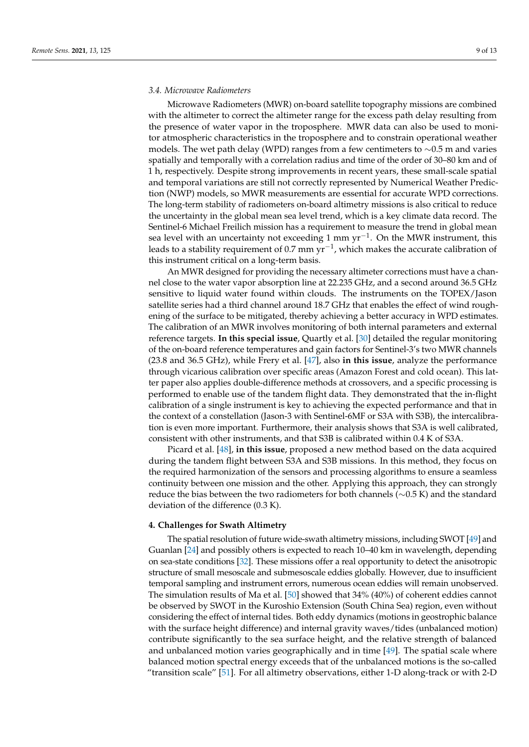## *3.4. Microwave Radiometers*

Microwave Radiometers (MWR) on-board satellite topography missions are combined with the altimeter to correct the altimeter range for the excess path delay resulting from the presence of water vapor in the troposphere. MWR data can also be used to monitor atmospheric characteristics in the troposphere and to constrain operational weather models. The wet path delay (WPD) ranges from a few centimeters to ∼0.5 m and varies spatially and temporally with a correlation radius and time of the order of 30–80 km and of 1 h, respectively. Despite strong improvements in recent years, these small-scale spatial and temporal variations are still not correctly represented by Numerical Weather Prediction (NWP) models, so MWR measurements are essential for accurate WPD corrections. The long-term stability of radiometers on-board altimetry missions is also critical to reduce the uncertainty in the global mean sea level trend, which is a key climate data record. The Sentinel-6 Michael Freilich mission has a requirement to measure the trend in global mean sea level with an uncertainty not exceeding 1 mm yr<sup>-1</sup>. On the MWR instrument, this leads to a stability requirement of 0.7 mm  $\text{yr}^{-1}$ , which makes the accurate calibration of this instrument critical on a long-term basis.

An MWR designed for providing the necessary altimeter corrections must have a channel close to the water vapor absorption line at 22.235 GHz, and a second around 36.5 GHz sensitive to liquid water found within clouds. The instruments on the TOPEX/Jason satellite series had a third channel around 18.7 GHz that enables the effect of wind roughening of the surface to be mitigated, thereby achieving a better accuracy in WPD estimates. The calibration of an MWR involves monitoring of both internal parameters and external reference targets. **In this special issue**, Quartly et al. [\[30\]](#page-11-20) detailed the regular monitoring of the on-board reference temperatures and gain factors for Sentinel-3's two MWR channels (23.8 and 36.5 GHz), while Frery et al. [\[47\]](#page-12-12), also **in this issue**, analyze the performance through vicarious calibration over specific areas (Amazon Forest and cold ocean). This latter paper also applies double-difference methods at crossovers, and a specific processing is performed to enable use of the tandem flight data. They demonstrated that the in-flight calibration of a single instrument is key to achieving the expected performance and that in the context of a constellation (Jason-3 with Sentinel-6MF or S3A with S3B), the intercalibration is even more important. Furthermore, their analysis shows that S3A is well calibrated, consistent with other instruments, and that S3B is calibrated within 0.4 K of S3A.

Picard et al. [\[48\]](#page-12-13), **in this issue**, proposed a new method based on the data acquired during the tandem flight between S3A and S3B missions. In this method, they focus on the required harmonization of the sensors and processing algorithms to ensure a seamless continuity between one mission and the other. Applying this approach, they can strongly reduce the bias between the two radiometers for both channels (∼0.5 K) and the standard deviation of the difference (0.3 K).

### <span id="page-8-0"></span>**4. Challenges for Swath Altimetry**

The spatial resolution of future wide-swath altimetry missions, including SWOT [\[49\]](#page-12-14) and Guanlan [\[24\]](#page-11-14) and possibly others is expected to reach 10–40 km in wavelength, depending on sea-state conditions [\[32\]](#page-11-22). These missions offer a real opportunity to detect the anisotropic structure of small mesoscale and submesoscale eddies globally. However, due to insufficient temporal sampling and instrument errors, numerous ocean eddies will remain unobserved. The simulation results of Ma et al. [\[50\]](#page-12-15) showed that 34% (40%) of coherent eddies cannot be observed by SWOT in the Kuroshio Extension (South China Sea) region, even without considering the effect of internal tides. Both eddy dynamics (motions in geostrophic balance with the surface height difference) and internal gravity waves/tides (unbalanced motion) contribute significantly to the sea surface height, and the relative strength of balanced and unbalanced motion varies geographically and in time [\[49\]](#page-12-14). The spatial scale where balanced motion spectral energy exceeds that of the unbalanced motions is the so-called "transition scale" [\[51\]](#page-12-16). For all altimetry observations, either 1-D along-track or with 2-D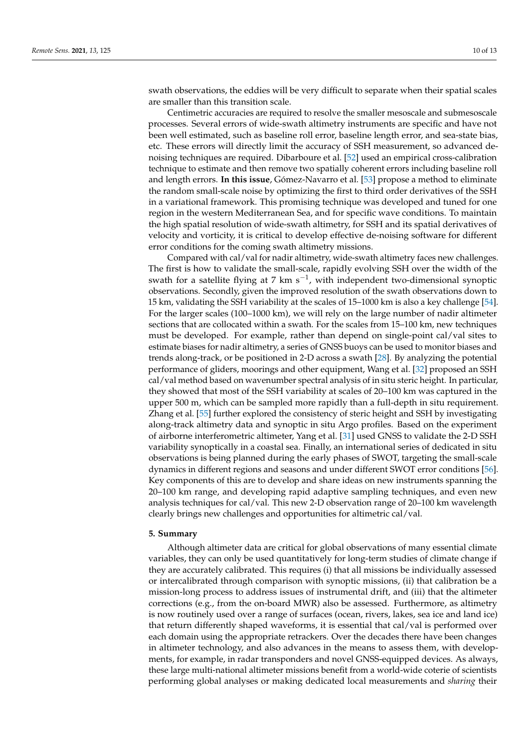swath observations, the eddies will be very difficult to separate when their spatial scales are smaller than this transition scale.

Centimetric accuracies are required to resolve the smaller mesoscale and submesoscale processes. Several errors of wide-swath altimetry instruments are specific and have not been well estimated, such as baseline roll error, baseline length error, and sea-state bias, etc. These errors will directly limit the accuracy of SSH measurement, so advanced denoising techniques are required. Dibarboure et al. [\[52\]](#page-12-17) used an empirical cross-calibration technique to estimate and then remove two spatially coherent errors including baseline roll and length errors. **In this issue**, Gómez-Navarro et al. [\[53\]](#page-12-18) propose a method to eliminate the random small-scale noise by optimizing the first to third order derivatives of the SSH in a variational framework. This promising technique was developed and tuned for one region in the western Mediterranean Sea, and for specific wave conditions. To maintain the high spatial resolution of wide-swath altimetry, for SSH and its spatial derivatives of velocity and vorticity, it is critical to develop effective de-noising software for different error conditions for the coming swath altimetry missions.

Compared with cal/val for nadir altimetry, wide-swath altimetry faces new challenges. The first is how to validate the small-scale, rapidly evolving SSH over the width of the swath for a satellite flying at 7 km s<sup>-1</sup>, with independent two-dimensional synoptic observations. Secondly, given the improved resolution of the swath observations down to 15 km, validating the SSH variability at the scales of 15–1000 km is also a key challenge [\[54\]](#page-12-19). For the larger scales (100–1000 km), we will rely on the large number of nadir altimeter sections that are collocated within a swath. For the scales from 15–100 km, new techniques must be developed. For example, rather than depend on single-point cal/val sites to estimate biases for nadir altimetry, a series of GNSS buoys can be used to monitor biases and trends along-track, or be positioned in 2-D across a swath [\[28\]](#page-11-18). By analyzing the potential performance of gliders, moorings and other equipment, Wang et al. [\[32\]](#page-11-22) proposed an SSH cal/val method based on wavenumber spectral analysis of in situ steric height. In particular, they showed that most of the SSH variability at scales of 20–100 km was captured in the upper 500 m, which can be sampled more rapidly than a full-depth in situ requirement. Zhang et al. [\[55\]](#page-12-20) further explored the consistency of steric height and SSH by investigating along-track altimetry data and synoptic in situ Argo profiles. Based on the experiment of airborne interferometric altimeter, Yang et al. [\[31\]](#page-11-21) used GNSS to validate the 2-D SSH variability synoptically in a coastal sea. Finally, an international series of dedicated in situ observations is being planned during the early phases of SWOT, targeting the small-scale dynamics in different regions and seasons and under different SWOT error conditions [\[56\]](#page-12-21). Key components of this are to develop and share ideas on new instruments spanning the 20–100 km range, and developing rapid adaptive sampling techniques, and even new analysis techniques for cal/val. This new 2-D observation range of 20–100 km wavelength clearly brings new challenges and opportunities for altimetric cal/val.

#### <span id="page-9-0"></span>**5. Summary**

Although altimeter data are critical for global observations of many essential climate variables, they can only be used quantitatively for long-term studies of climate change if they are accurately calibrated. This requires (i) that all missions be individually assessed or intercalibrated through comparison with synoptic missions, (ii) that calibration be a mission-long process to address issues of instrumental drift, and (iii) that the altimeter corrections (e.g., from the on-board MWR) also be assessed. Furthermore, as altimetry is now routinely used over a range of surfaces (ocean, rivers, lakes, sea ice and land ice) that return differently shaped waveforms, it is essential that cal/val is performed over each domain using the appropriate retrackers. Over the decades there have been changes in altimeter technology, and also advances in the means to assess them, with developments, for example, in radar transponders and novel GNSS-equipped devices. As always, these large multi-national altimeter missions benefit from a world-wide coterie of scientists performing global analyses or making dedicated local measurements and *sharing* their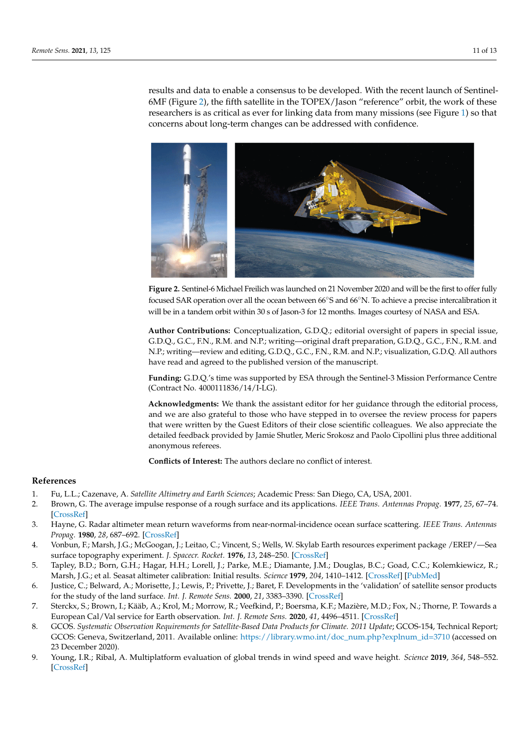results and data to enable a consensus to be developed. With the recent launch of Sentinel-6MF (Figure [2\)](#page-10-9), the fifth satellite in the TOPEX/Jason "reference" orbit, the work of these researchers is as critical as ever for linking data from many missions (see Figure [1\)](#page-1-0) so that concerns about long-term changes can be addressed with confidence.

<span id="page-10-9"></span>

**Figure 2.** Sentinel-6 Michael Freilich was launched on 21 November 2020 and will be the first to offer fully focused SAR operation over all the ocean between 66◦S and 66◦N. To achieve a precise intercalibration it will be in a tandem orbit within 30 s of Jason-3 for 12 months. Images courtesy of NASA and ESA.

**Author Contributions:** Conceptualization, G.D.Q.; editorial oversight of papers in special issue, G.D.Q., G.C., F.N., R.M. and N.P.; writing—original draft preparation, G.D.Q., G.C., F.N., R.M. and N.P.; writing—review and editing, G.D.Q., G.C., F.N., R.M. and N.P.; visualization, G.D.Q. All authors have read and agreed to the published version of the manuscript.

**Funding:** G.D.Q.'s time was supported by ESA through the Sentinel-3 Mission Performance Centre (Contract No. 4000111836/14/I-LG).

**Acknowledgments:** We thank the assistant editor for her guidance through the editorial process, and we are also grateful to those who have stepped in to oversee the review process for papers that were written by the Guest Editors of their close scientific colleagues. We also appreciate the detailed feedback provided by Jamie Shutler, Meric Srokosz and Paolo Cipollini plus three additional anonymous referees.

**Conflicts of Interest:** The authors declare no conflict of interest.

# **References**

- <span id="page-10-0"></span>1. Fu, L.L.; Cazenave, A. *Satellite Altimetry and Earth Sciences*; Academic Press: San Diego, CA, USA, 2001.
- <span id="page-10-1"></span>2. Brown, G. The average impulse response of a rough surface and its applications. *IEEE Trans. Antennas Propag.* **1977**, *25*, 67–74. [\[CrossRef\]](http://dx.doi.org/10.1109/TAP.1977.1141536)
- <span id="page-10-2"></span>3. Hayne, G. Radar altimeter mean return waveforms from near-normal-incidence ocean surface scattering. *IEEE Trans. Antennas Propag.* **1980**, *28*, 687–692. [\[CrossRef\]](http://dx.doi.org/10.1109/TAP.1980.1142398)
- <span id="page-10-3"></span>4. Vonbun, F.; Marsh, J.G.; McGoogan, J.; Leitao, C.; Vincent, S.; Wells, W. Skylab Earth resources experiment package /EREP/—Sea surface topography experiment. *J. Spacecr. Rocket.* **1976**, *13*, 248–250. [\[CrossRef\]](http://dx.doi.org/10.2514/3.27901)
- <span id="page-10-4"></span>5. Tapley, B.D.; Born, G.H.; Hagar, H.H.; Lorell, J.; Parke, M.E.; Diamante, J.M.; Douglas, B.C.; Goad, C.C.; Kolemkiewicz, R.; Marsh, J.G.; et al. Seasat altimeter calibration: Initial results. *Science* **1979**, *204*, 1410–1412. [\[CrossRef\]](http://dx.doi.org/10.1126/science.204.4400.1410) [\[PubMed\]](http://www.ncbi.nlm.nih.gov/pubmed/17814198)
- <span id="page-10-5"></span>6. Justice, C.; Belward, A.; Morisette, J.; Lewis, P.; Privette, J.; Baret, F. Developments in the 'validation' of satellite sensor products for the study of the land surface. *Int. J. Remote Sens.* **2000**, *21*, 3383–3390. [\[CrossRef\]](http://dx.doi.org/10.1080/014311600750020000)
- <span id="page-10-6"></span>7. Sterckx, S.; Brown, I.; Kääb, A.; Krol, M.; Morrow, R.; Veefkind, P.; Boersma, K.F.; Mazière, M.D.; Fox, N.; Thorne, P. Towards a European Cal/Val service for Earth observation. *Int. J. Remote Sens.* **2020**, *41*, 4496–4511. [\[CrossRef\]](http://dx.doi.org/10.1080/01431161.2020.1718240)
- <span id="page-10-7"></span>8. GCOS. Systematic Observation Requirements for Satellite-Based Data Products for Climate. 2011 Update; GCOS-154, Technical Report; GCOS: Geneva, Switzerland, 2011. Available online: [https://library.wmo.int/doc\\_num.php?explnum\\_id=3710](http://xxx.lanl.gov/abs/https://library.wmo.int/doc_num.php?explnum_id=3710) (accessed on 23 December 2020).
- <span id="page-10-8"></span>9. Young, I.R.; Ribal, A. Multiplatform evaluation of global trends in wind speed and wave height. *Science* **2019**, *364*, 548–552. [\[CrossRef\]](http://dx.doi.org/10.1126/science.aav9527)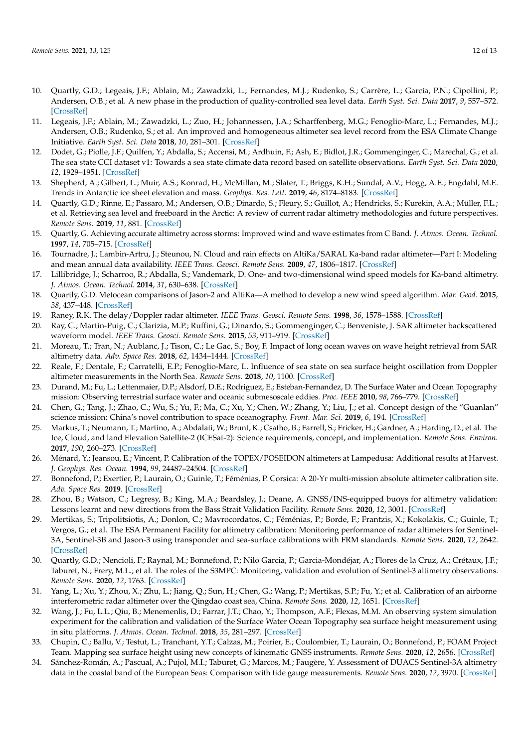- <span id="page-11-0"></span>10. Quartly, G.D.; Legeais, J.F.; Ablain, M.; Zawadzki, L.; Fernandes, M.J.; Rudenko, S.; Carrère, L.; García, P.N.; Cipollini, P.; Andersen, O.B.; et al. A new phase in the production of quality-controlled sea level data. *Earth Syst. Sci. Data* **2017**, *9*, 557–572. [\[CrossRef\]](http://dx.doi.org/10.5194/essd-9-557-2017)
- <span id="page-11-1"></span>11. Legeais, J.F.; Ablain, M.; Zawadzki, L.; Zuo, H.; Johannessen, J.A.; Scharffenberg, M.G.; Fenoglio-Marc, L.; Fernandes, M.J.; Andersen, O.B.; Rudenko, S.; et al. An improved and homogeneous altimeter sea level record from the ESA Climate Change Initiative. *Earth Syst. Sci. Data* **2018**, *10*, 281–301. [\[CrossRef\]](http://dx.doi.org/10.5194/essd-10-281-2018)
- <span id="page-11-2"></span>12. Dodet, G.; Piolle, J.F.; Quilfen, Y.; Abdalla, S.; Accensi, M.; Ardhuin, F.; Ash, E.; Bidlot, J.R.; Gommenginger, C.; Marechal, G.; et al. The sea state CCI dataset v1: Towards a sea state climate data record based on satellite observations. *Earth Syst. Sci. Data* **2020**, *12*, 1929–1951. [\[CrossRef\]](http://dx.doi.org/10.5194/essd-12-1929-2020)
- <span id="page-11-3"></span>13. Shepherd, A.; Gilbert, L.; Muir, A.S.; Konrad, H.; McMillan, M.; Slater, T.; Briggs, K.H.; Sundal, A.V.; Hogg, A.E.; Engdahl, M.E. Trends in Antarctic ice sheet elevation and mass. *Geophys. Res. Lett.* **2019**, *46*, 8174–8183. [\[CrossRef\]](http://dx.doi.org/10.1029/2019GL082182)
- <span id="page-11-4"></span>Quartly, G.D.; Rinne, E.; Passaro, M.; Andersen, O.B.; Dinardo, S.; Fleury, S.; Guillot, A.; Hendricks, S.; Kurekin, A.A.; Müller, F.L.; et al. Retrieving sea level and freeboard in the Arctic: A review of current radar altimetry methodologies and future perspectives. *Remote Sens.* **2019**, *11*, 881. [\[CrossRef\]](http://dx.doi.org/10.3390/rs11070881)
- <span id="page-11-5"></span>15. Quartly, G. Achieving accurate altimetry across storms: Improved wind and wave estimates from C Band. *J. Atmos. Ocean. Technol.* **1997**, *14*, 705–715. [\[CrossRef\]](http://dx.doi.org/10.1175/1520-0426(1997)014<0705:AAAASI>2.0.CO;2)
- <span id="page-11-6"></span>16. Tournadre, J.; Lambin-Artru, J.; Steunou, N. Cloud and rain effects on AltiKa/SARAL Ka-band radar altimeter—Part I: Modeling and mean annual data availability. *IEEE Trans. Geosci. Remote Sens.* **2009**, *47*, 1806–1817. [\[CrossRef\]](http://dx.doi.org/10.1109/TGRS.2008.2010130)
- <span id="page-11-7"></span>17. Lillibridge, J.; Scharroo, R.; Abdalla, S.; Vandemark, D. One- and two-dimensional wind speed models for Ka-band altimetry. *J. Atmos. Ocean. Technol.* **2014**, *31*, 630–638. [\[CrossRef\]](http://dx.doi.org/10.1175/JTECH-D-13-00167.1)
- <span id="page-11-8"></span>18. Quartly, G.D. Metocean comparisons of Jason-2 and AltiKa—A method to develop a new wind speed algorithm. *Mar. Geod.* **2015**, *38*, 437–448. [\[CrossRef\]](http://dx.doi.org/10.1080/01490419.2014.988834)
- <span id="page-11-9"></span>19. Raney, R.K. The delay/Doppler radar altimeter. *IEEE Trans. Geosci. Remote Sens.* **1998**, *36*, 1578–1588. [\[CrossRef\]](http://dx.doi.org/10.1109/36.718861)
- <span id="page-11-10"></span>20. Ray, C.; Martin-Puig, C.; Clarizia, M.P.; Ruffini, G.; Dinardo, S.; Gommenginger, C.; Benveniste, J. SAR altimeter backscattered waveform model. *IEEE Trans. Geosci. Remote Sens.* **2015**, *53*, 911–919. [\[CrossRef\]](http://dx.doi.org/10.1109/TGRS.2014.2330423)
- <span id="page-11-11"></span>21. Moreau, T.; Tran, N.; Aublanc, J.; Tison, C.; Le Gac, S.; Boy, F. Impact of long ocean waves on wave height retrieval from SAR altimetry data. *Adv. Space Res.* **2018**, *62*, 1434–1444. [\[CrossRef\]](http://dx.doi.org/10.1016/j.asr.2018.06.004)
- <span id="page-11-12"></span>22. Reale, F.; Dentale, F.; Carratelli, E.P.; Fenoglio-Marc, L. Influence of sea state on sea surface height oscillation from Doppler altimeter measurements in the North Sea. *Remote Sens.* **2018**, *10*, 1100. [\[CrossRef\]](http://dx.doi.org/10.3390/rs10071100)
- <span id="page-11-13"></span>23. Durand, M.; Fu, L.; Lettenmaier, D.P.; Alsdorf, D.E.; Rodriguez, E.; Esteban-Fernandez, D. The Surface Water and Ocean Topography mission: Observing terrestrial surface water and oceanic submesoscale eddies. *Proc. IEEE* **2010**, *98*, 766–779. [\[CrossRef\]](http://dx.doi.org/10.1109/JPROC.2010.2043031)
- <span id="page-11-14"></span>24. Chen, G.; Tang, J.; Zhao, C.; Wu, S.; Yu, F.; Ma, C.; Xu, Y.; Chen, W.; Zhang, Y.; Liu, J.; et al. Concept design of the "Guanlan" science mission: China's novel contribution to space oceanography. *Front. Mar. Sci.* **2019**, *6*, 194. [\[CrossRef\]](http://dx.doi.org/10.3389/fmars.2019.00194)
- <span id="page-11-15"></span>25. Markus, T.; Neumann, T.; Martino, A.; Abdalati, W.; Brunt, K.; Csatho, B.; Farrell, S.; Fricker, H.; Gardner, A.; Harding, D.; et al. The Ice, Cloud, and land Elevation Satellite-2 (ICESat-2): Science requirements, concept, and implementation. *Remote Sens. Environ.* **2017**, *190*, 260–273. [\[CrossRef\]](http://dx.doi.org/10.1016/j.rse.2016.12.029)
- <span id="page-11-16"></span>26. Ménard, Y.; Jeansou, E.; Vincent, P. Calibration of the TOPEX/POSEIDON altimeters at Lampedusa: Additional results at Harvest. *J. Geophys. Res. Ocean.* **1994**, *99*, 24487–24504. [\[CrossRef\]](http://dx.doi.org/10.1029/94JC01300)
- <span id="page-11-17"></span>27. Bonnefond, P.; Exertier, P.; Laurain, O.; Guinle, T.; Féménias, P. Corsica: A 20-Yr multi-mission absolute altimeter calibration site. *Adv. Space Res.* **2019**. [\[CrossRef\]](http://dx.doi.org/10.1016/j.asr.2019.09.049)
- <span id="page-11-18"></span>28. Zhou, B.; Watson, C.; Legresy, B.; King, M.A.; Beardsley, J.; Deane, A. GNSS/INS-equipped buoys for altimetry validation: Lessons learnt and new directions from the Bass Strait Validation Facility. *Remote Sens.* **2020**, *12*, 3001. [\[CrossRef\]](http://dx.doi.org/10.3390/rs12183001)
- <span id="page-11-19"></span>29. Mertikas, S.; Tripolitsiotis, A.; Donlon, C.; Mavrocordatos, C.; Féménias, P.; Borde, F.; Frantzis, X.; Kokolakis, C.; Guinle, T.; Vergos, G.; et al. The ESA Permanent Facility for altimetry calibration: Monitoring performance of radar altimeters for Sentinel-3A, Sentinel-3B and Jason-3 using transponder and sea-surface calibrations with FRM standards. *Remote Sens.* **2020**, *12*, 2642. [\[CrossRef\]](http://dx.doi.org/10.3390/rs12162642)
- <span id="page-11-20"></span>30. Quartly, G.D.; Nencioli, F.; Raynal, M.; Bonnefond, P.; Nilo Garcia, P.; Garcia-Mondéjar, A.; Flores de la Cruz, A.; Crétaux, J.F.; Taburet, N.; Frery, M.L.; et al. The roles of the S3MPC: Monitoring, validation and evolution of Sentinel-3 altimetry observations. *Remote Sens.* **2020**, *12*, 1763. [\[CrossRef\]](http://dx.doi.org/10.3390/rs12111763)
- <span id="page-11-21"></span>31. Yang, L.; Xu, Y.; Zhou, X.; Zhu, L.; Jiang, Q.; Sun, H.; Chen, G.; Wang, P.; Mertikas, S.P.; Fu, Y.; et al. Calibration of an airborne interferometric radar altimeter over the Qingdao coast sea, China. *Remote Sens.* **2020**, *12*, 1651. [\[CrossRef\]](http://dx.doi.org/10.3390/rs12101651)
- <span id="page-11-22"></span>32. Wang, J.; Fu, L.L.; Qiu, B.; Menemenlis, D.; Farrar, J.T.; Chao, Y.; Thompson, A.F.; Flexas, M.M. An observing system simulation experiment for the calibration and validation of the Surface Water Ocean Topography sea surface height measurement using in situ platforms. *J. Atmos. Ocean. Technol.* **2018**, *35*, 281–297. [\[CrossRef\]](http://dx.doi.org/10.1175/JTECH-D-17-0076.1)
- <span id="page-11-23"></span>33. Chupin, C.; Ballu, V.; Testut, L.; Tranchant, Y.T.; Calzas, M.; Poirier, E.; Coulombier, T.; Laurain, O.; Bonnefond, P.; FOAM Project Team. Mapping sea surface height using new concepts of kinematic GNSS instruments. *Remote Sens.* **2020**, *12*, 2656. [\[CrossRef\]](http://dx.doi.org/10.3390/rs12162656)
- <span id="page-11-24"></span>34. Sánchez-Román, A.; Pascual, A.; Pujol, M.I.; Taburet, G.; Marcos, M.; Faugère, Y. Assessment of DUACS Sentinel-3A altimetry data in the coastal band of the European Seas: Comparison with tide gauge measurements. *Remote Sens.* **2020**, *12*, 3970. [\[CrossRef\]](http://dx.doi.org/10.3390/rs12233970)